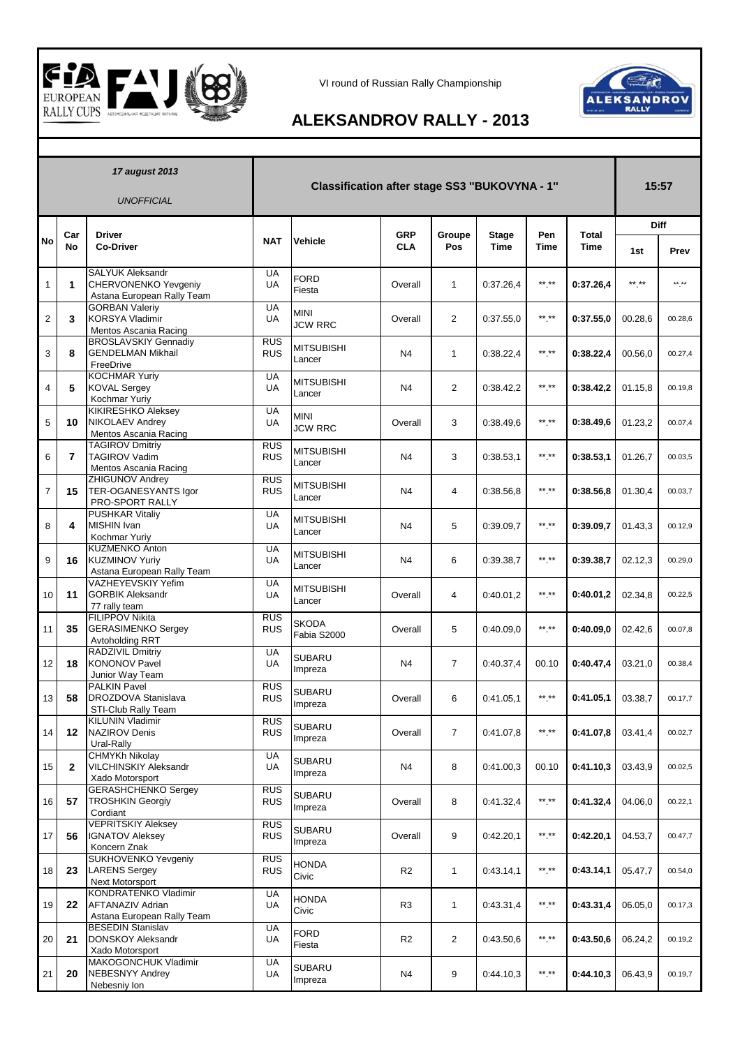



## **ALEKSANDROV RALLY - 2013**

| 17 august 2013<br><b>UNOFFICIAL</b> |                |                                                                                      | Classification after stage SS3 "BUKOVYNA - 1" |                               |                          |                |                             |                    | 15:57                       |             |         |
|-------------------------------------|----------------|--------------------------------------------------------------------------------------|-----------------------------------------------|-------------------------------|--------------------------|----------------|-----------------------------|--------------------|-----------------------------|-------------|---------|
|                                     |                |                                                                                      |                                               |                               |                          |                |                             |                    |                             | <b>Diff</b> |         |
| <b>No</b>                           | Car<br>No      | <b>Driver</b><br><b>Co-Driver</b>                                                    | <b>NAT</b>                                    | Vehicle                       | <b>GRP</b><br><b>CLA</b> | Groupe<br>Pos  | <b>Stage</b><br><b>Time</b> | Pen<br><b>Time</b> | <b>Total</b><br><b>Time</b> | 1st         | Prev    |
| 1                                   | 1              | <b>SALYUK Aleksandr</b><br><b>CHERVONENKO Yevgeniy</b><br>Astana European Rally Team | UA<br>UA                                      | <b>FORD</b><br>Fiesta         | Overall                  | $\mathbf{1}$   | 0:37.26,4                   | $***$ **           | 0:37.26,4                   | ** **       | ** **   |
| $\overline{2}$                      | 3              | <b>GORBAN Valeriy</b><br><b>KORSYA Vladimir</b><br>Mentos Ascania Racing             | UA<br>UA                                      | <b>MINI</b><br><b>JCW RRC</b> | Overall                  | $\overline{2}$ | 0:37.55,0                   | $***$ **           | 0:37.55,0                   | 00.28,6     | 00.28,6 |
| 3                                   | 8              | <b>BROSLAVSKIY Gennadiy</b><br><b>GENDELMAN Mikhail</b><br>FreeDrive                 | <b>RUS</b><br><b>RUS</b>                      | <b>MITSUBISHI</b><br>Lancer   | N4                       | 1              | 0:38.22,4                   | $***$ **           | 0:38.22,4                   | 00.56,0     | 00.27,4 |
| 4                                   | 5              | <b>KOCHMAR Yuriy</b><br><b>KOVAL Sergey</b><br>Kochmar Yuriy                         | UA<br><b>UA</b>                               | MITSUBISHI<br>Lancer          | N4                       | $\overline{2}$ | 0:38.42,2                   | $***$ **           | 0:38.42,2                   | 01.15,8     | 00.19,8 |
| 5                                   | 10             | <b>KIKIRESHKO Aleksey</b><br><b>NIKOLAEV Andrey</b><br>Mentos Ascania Racing         | UA<br>UA                                      | <b>MINI</b><br><b>JCW RRC</b> | Overall                  | 3              | 0:38.49,6                   | $***$ **           | 0:38.49,6                   | 01.23,2     | 00.07,4 |
| 6                                   | $\overline{7}$ | <b>TAGIROV Dmitriy</b><br><b>TAGIROV Vadim</b><br>Mentos Ascania Racing              | <b>RUS</b><br><b>RUS</b>                      | MITSUBISHI<br>Lancer          | N4                       | 3              | 0:38.53,1                   | $***$ **           | 0:38.53.1                   | 01.26,7     | 00.03,5 |
| $\overline{7}$                      | 15             | ZHIGUNOV Andrey<br><b>TER-OGANESYANTS Igor</b><br>PRO-SPORT RALLY                    | <b>RUS</b><br><b>RUS</b>                      | <b>MITSUBISHI</b><br>Lancer   | N <sub>4</sub>           | 4              | 0:38.56.8                   | ** **              | 0:38.56,8                   | 01.30,4     | 00.03,7 |
| 8                                   | 4              | <b>PUSHKAR Vitaliv</b><br>MISHIN Ivan<br>Kochmar Yuriy                               | UA<br>UA                                      | <b>MITSUBISHI</b><br>Lancer   | N4                       | 5              | 0:39.09.7                   | $***$ **           | 0:39.09,7                   | 01.43,3     | 00.12,9 |
| 9                                   | 16             | <b>KUZMENKO Anton</b><br><b>KUZMINOV Yuriy</b><br>Astana European Rally Team         | UA<br>UA                                      | <b>MITSUBISHI</b><br>Lancer   | N <sub>4</sub>           | 6              | 0:39.38.7                   | ** **              | 0:39.38,7                   | 02.12,3     | 00.29,0 |
| 10                                  | 11             | VAZHEYEVSKIY Yefim<br><b>GORBIK Aleksandr</b><br>77 rally team                       | UA<br>UA                                      | <b>MITSUBISHI</b><br>Lancer   | Overall                  | 4              | 0:40.01.2                   | $***$ **           | 0:40.01,2                   | 02.34,8     | 00.22,5 |
| 11                                  | 35             | <b>FILIPPOV Nikita</b><br><b>GERASIMENKO Sergey</b><br>Avtoholding RRT               | <b>RUS</b><br><b>RUS</b>                      | <b>SKODA</b><br>Fabia S2000   | Overall                  | 5              | 0:40.09.0                   | ** **              | 0:40.09,0                   | 02.42,6     | 00.07,8 |
| 12                                  | 18             | RADZIVIL Dmitriy<br><b>KONONOV Pavel</b><br>Junior Way Team                          | UA<br>UA                                      | SUBARU<br>Impreza             | N4                       | $\overline{7}$ | 0:40.37.4                   | 00.10              | 0:40.47.4                   | 03.21,0     | 00.38,4 |
| 13                                  | 58             | <b>PALKIN Pavel</b><br>DROZDOVA Stanislava<br>STI-Club Rally Team                    | <b>RUS</b><br><b>RUS</b>                      | <b>SUBARU</b><br>Impreza      | Overall                  | 6              | 0:41.05,1                   | ** **              | 0:41.05,1                   | 03.38,7     | 00.17,7 |
| 14                                  | 12             | <b>KILUNIN Vladimir</b><br><b>NAZIROV Denis</b><br>Ural-Rally                        | <b>RUS</b><br><b>RUS</b>                      | <b>SUBARU</b><br>Impreza      | Overall                  | $\overline{7}$ | 0:41.07.8                   | $***$ **           | 0:41.07,8                   | 03.41,4     | 00.02,7 |
| 15                                  | $\mathbf{2}$   | <b>CHMYKh Nikolay</b><br><b>VILCHINSKIY Aleksandr</b><br>Xado Motorsport             | UA<br>UA                                      | SUBARU<br>Impreza             | N4                       | 8              | 0:41.00,3                   | 00.10              | 0:41.10,3                   | 03.43,9     | 00.02,5 |
| 16                                  | 57             | <b>GERASHCHENKO Sergey</b><br><b>TROSHKIN Georgiv</b><br>Cordiant                    | RUS<br><b>RUS</b>                             | SUBARU<br>Impreza             | Overall                  | 8              | 0:41.32.4                   | $***$ **           | 0:41.32,4                   | 04.06,0     | 00.22,1 |
| 17                                  | 56             | <b>VEPRITSKIY Aleksey</b><br><b>IGNATOV Aleksey</b><br>Koncern Znak                  | <b>RUS</b><br><b>RUS</b>                      | SUBARU<br>Impreza             | Overall                  | 9              | 0:42.20,1                   | $***$ **           | 0:42.20,1                   | 04.53,7     | 00.47,7 |
| 18                                  | 23             | SUKHOVENKO Yevgeniy<br><b>LARENS Sergey</b><br><b>Next Motorsport</b>                | <b>RUS</b><br><b>RUS</b>                      | <b>HONDA</b><br>Civic         | R <sub>2</sub>           | $\mathbf{1}$   | 0:43.14.1                   | $***$ **           | 0:43.14,1                   | 05.47,7     | 00.54,0 |
| 19                                  | 22             | <b>KONDRATENKO Vladimir</b><br><b>AFTANAZIV Adrian</b><br>Astana European Rally Team | UA<br>UA                                      | <b>HONDA</b><br>Civic         | R3                       | $\mathbf{1}$   | 0:43.31,4                   | $***$ **           | 0:43.31,4                   | 06.05,0     | 00.17,3 |
| 20                                  | 21             | <b>BESEDIN Stanislav</b><br><b>DONSKOY Aleksandr</b><br>Xado Motorsport              | UA<br>UA                                      | FORD<br>Fiesta                | R <sub>2</sub>           | $\overline{2}$ | 0:43.50,6                   | $***$ **           | 0:43.50,6                   | 06.24,2     | 00.19,2 |
| 21                                  | 20             | MAKOGONCHUK Vladimir<br><b>NEBESNYY Andrey</b><br>Nebesniy Ion                       | UA<br>UA                                      | <b>SUBARU</b><br>Impreza      | N4                       | 9              | 0:44.10.3                   | ** **              | 0:44.10,3                   | 06.43,9     | 00.19,7 |